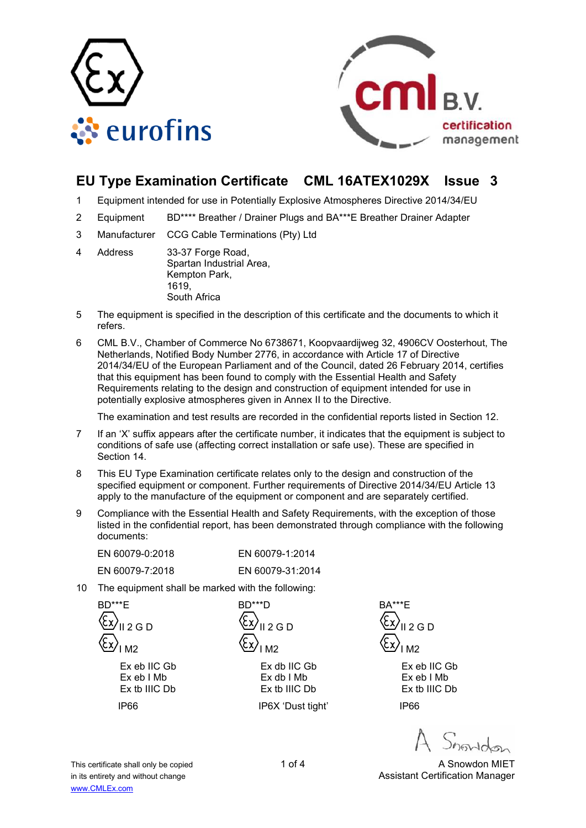



# **EU Type Examination Certificate CML 16ATEX1029X Issue 3**

- 1 Equipment intended for use in Potentially Explosive Atmospheres Directive 2014/34/EU
- 2 Equipment BD\*\*\*\* Breather / Drainer Plugs and BA\*\*\*E Breather Drainer Adapter
- 3 Manufacturer CCG Cable Terminations (Pty) Ltd
- 4 Address 33-37 Forge Road, Spartan Industrial Area, Kempton Park, 1619, South Africa
- 5 The equipment is specified in the description of this certificate and the documents to which it refers.
- 6 CML B.V., Chamber of Commerce No 6738671, Koopvaardijweg 32, 4906CV Oosterhout, The Netherlands, Notified Body Number 2776, in accordance with Article 17 of Directive 2014/34/EU of the European Parliament and of the Council, dated 26 February 2014, certifies that this equipment has been found to comply with the Essential Health and Safety Requirements relating to the design and construction of equipment intended for use in potentially explosive atmospheres given in Annex II to the Directive.

The examination and test results are recorded in the confidential reports listed in Section 12.

- 7 If an 'X' suffix appears after the certificate number, it indicates that the equipment is subject to conditions of safe use (affecting correct installation or safe use). These are specified in Section 14.
- 8 This EU Type Examination certificate relates only to the design and construction of the specified equipment or component. Further requirements of Directive 2014/34/EU Article 13 apply to the manufacture of the equipment or component and are separately certified.
- 9 Compliance with the Essential Health and Safety Requirements, with the exception of those listed in the confidential report, has been demonstrated through compliance with the following documents:

| EN 60079-0:2018 | EN 60079-1:2014  |
|-----------------|------------------|
| EN 60079-7:2018 | EN 60079-31:2014 |

10 The equipment shall be marked with the following:

 BD\*\*\*E  $12G$  D I M2 Ex eb IIC Gb Ex eb I Mb Ex tb IIIC Db IP66

 $2 G D$ I M2

BD\*\*\*D

Ex db IIC Gb Ex db I Mb Ex tb IIIC Db

IP6X 'Dust tight'

BA\*\*\*E  $2 G D$ I M2

> Ex eb IIC Gb Ex eb I Mb Ex tb IIIC Db

IP66

This certificate shall only be copied 1 of 4 A Snowdon MIET in its entirety and without change Assistant Certification Manager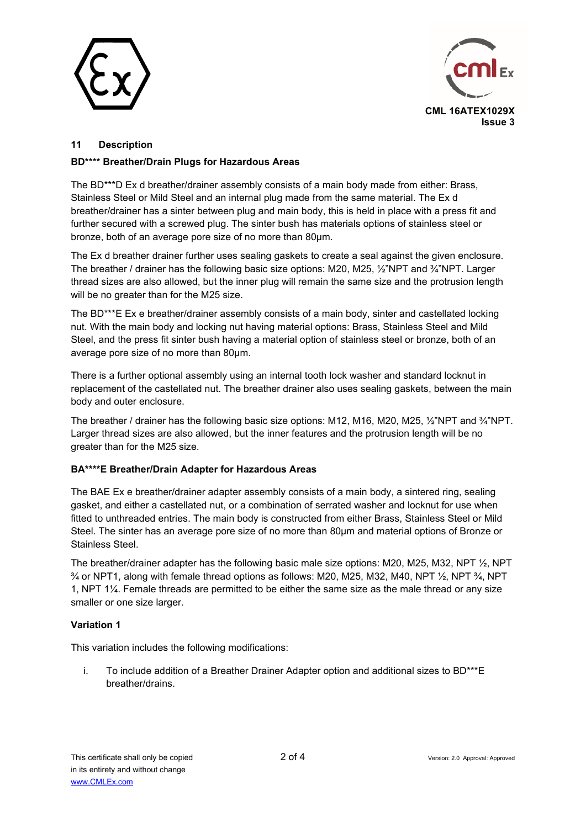



# **11 Description**

# **BD\*\*\*\* Breather/Drain Plugs for Hazardous Areas**

The BD\*\*\*D Ex d breather/drainer assembly consists of a main body made from either: Brass, Stainless Steel or Mild Steel and an internal plug made from the same material. The Ex d breather/drainer has a sinter between plug and main body, this is held in place with a press fit and further secured with a screwed plug. The sinter bush has materials options of stainless steel or bronze, both of an average pore size of no more than 80µm.

The Ex d breather drainer further uses sealing gaskets to create a seal against the given enclosure. The breather / drainer has the following basic size options: M20, M25, ½"NPT and ¾"NPT. Larger thread sizes are also allowed, but the inner plug will remain the same size and the protrusion length will be no greater than for the M25 size.

The BD\*\*\*E Ex e breather/drainer assembly consists of a main body, sinter and castellated locking nut. With the main body and locking nut having material options: Brass, Stainless Steel and Mild Steel, and the press fit sinter bush having a material option of stainless steel or bronze, both of an average pore size of no more than 80µm.

There is a further optional assembly using an internal tooth lock washer and standard locknut in replacement of the castellated nut. The breather drainer also uses sealing gaskets, between the main body and outer enclosure.

The breather / drainer has the following basic size options: M12, M16, M20, M25, 1/2"NPT and 3/4"NPT. Larger thread sizes are also allowed, but the inner features and the protrusion length will be no greater than for the M25 size.

# **BA\*\*\*\*E Breather/Drain Adapter for Hazardous Areas**

The BAE Ex e breather/drainer adapter assembly consists of a main body, a sintered ring, sealing gasket, and either a castellated nut, or a combination of serrated washer and locknut for use when fitted to unthreaded entries. The main body is constructed from either Brass, Stainless Steel or Mild Steel. The sinter has an average pore size of no more than 80µm and material options of Bronze or Stainless Steel.

The breather/drainer adapter has the following basic male size options: M20, M25, M32, NPT ½, NPT  $\frac{3}{4}$  or NPT1, along with female thread options as follows: M20, M25, M32, M40, NPT  $\frac{1}{2}$ , NPT  $\frac{3}{4}$ , NPT 1, NPT 1¼. Female threads are permitted to be either the same size as the male thread or any size smaller or one size larger.

# **Variation 1**

This variation includes the following modifications:

i. To include addition of a Breather Drainer Adapter option and additional sizes to BD\*\*\*E breather/drains.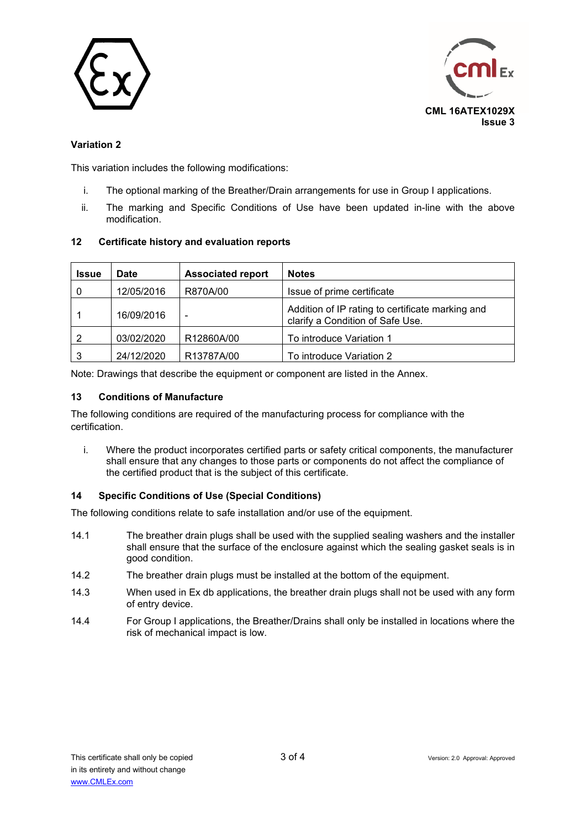



# **Variation 2**

This variation includes the following modifications:

- i. The optional marking of the Breather/Drain arrangements for use in Group I applications.
- ii. The marking and Specific Conditions of Use have been updated in-line with the above modification.

#### **12 Certificate history and evaluation reports**

| <b>Issue</b> | <b>Date</b> | <b>Associated report</b> | <b>Notes</b>                                                                         |
|--------------|-------------|--------------------------|--------------------------------------------------------------------------------------|
|              | 12/05/2016  | R870A/00                 | Issue of prime certificate                                                           |
|              | 16/09/2016  | -                        | Addition of IP rating to certificate marking and<br>clarify a Condition of Safe Use. |
| 2            | 03/02/2020  | R12860A/00               | To introduce Variation 1                                                             |
|              | 24/12/2020  | R13787A/00               | To introduce Variation 2                                                             |

Note: Drawings that describe the equipment or component are listed in the Annex.

#### **13 Conditions of Manufacture**

The following conditions are required of the manufacturing process for compliance with the certification.

i. Where the product incorporates certified parts or safety critical components, the manufacturer shall ensure that any changes to those parts or components do not affect the compliance of the certified product that is the subject of this certificate.

# **14 Specific Conditions of Use (Special Conditions)**

The following conditions relate to safe installation and/or use of the equipment.

- 14.1 The breather drain plugs shall be used with the supplied sealing washers and the installer shall ensure that the surface of the enclosure against which the sealing gasket seals is in good condition.
- 14.2 The breather drain plugs must be installed at the bottom of the equipment.
- 14.3 When used in Ex db applications, the breather drain plugs shall not be used with any form of entry device.
- 14.4 For Group I applications, the Breather/Drains shall only be installed in locations where the risk of mechanical impact is low.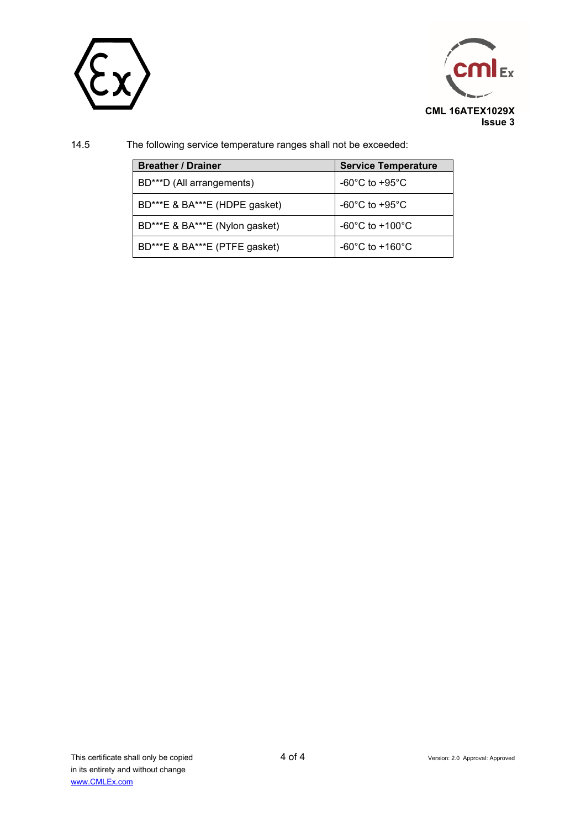



14.5 The following service temperature ranges shall not be exceeded:

| <b>Breather / Drainer</b>      | <b>Service Temperature</b>            |
|--------------------------------|---------------------------------------|
| BD***D (All arrangements)      | -60 $^{\circ}$ C to +95 $^{\circ}$ C  |
| BD***E & BA***E (HDPE gasket)  | -60 $^{\circ}$ C to +95 $^{\circ}$ C  |
| BD***E & BA***E (Nylon gasket) | $-60^{\circ}$ C to $+100^{\circ}$ C   |
| BD***E & BA***E (PTFE gasket)  | -60 $^{\circ}$ C to +160 $^{\circ}$ C |